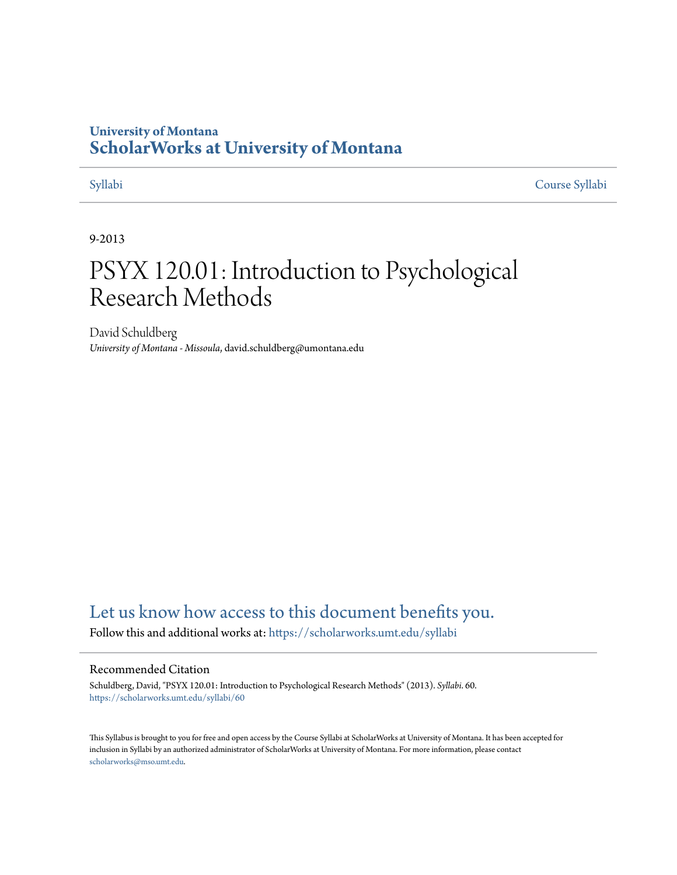# **University of Montana [ScholarWorks at University of Montana](https://scholarworks.umt.edu?utm_source=scholarworks.umt.edu%2Fsyllabi%2F60&utm_medium=PDF&utm_campaign=PDFCoverPages)**

[Syllabi](https://scholarworks.umt.edu/syllabi?utm_source=scholarworks.umt.edu%2Fsyllabi%2F60&utm_medium=PDF&utm_campaign=PDFCoverPages) [Course Syllabi](https://scholarworks.umt.edu/course_syllabi?utm_source=scholarworks.umt.edu%2Fsyllabi%2F60&utm_medium=PDF&utm_campaign=PDFCoverPages)

### 9-2013

# PSYX 120.01: Introduction to Psychological Research Methods

David Schuldberg *University of Montana - Missoula*, david.schuldberg@umontana.edu

# [Let us know how access to this document benefits you.](https://goo.gl/forms/s2rGfXOLzz71qgsB2)

Follow this and additional works at: [https://scholarworks.umt.edu/syllabi](https://scholarworks.umt.edu/syllabi?utm_source=scholarworks.umt.edu%2Fsyllabi%2F60&utm_medium=PDF&utm_campaign=PDFCoverPages)

#### Recommended Citation

Schuldberg, David, "PSYX 120.01: Introduction to Psychological Research Methods" (2013). *Syllabi*. 60. [https://scholarworks.umt.edu/syllabi/60](https://scholarworks.umt.edu/syllabi/60?utm_source=scholarworks.umt.edu%2Fsyllabi%2F60&utm_medium=PDF&utm_campaign=PDFCoverPages)

This Syllabus is brought to you for free and open access by the Course Syllabi at ScholarWorks at University of Montana. It has been accepted for inclusion in Syllabi by an authorized administrator of ScholarWorks at University of Montana. For more information, please contact [scholarworks@mso.umt.edu](mailto:scholarworks@mso.umt.edu).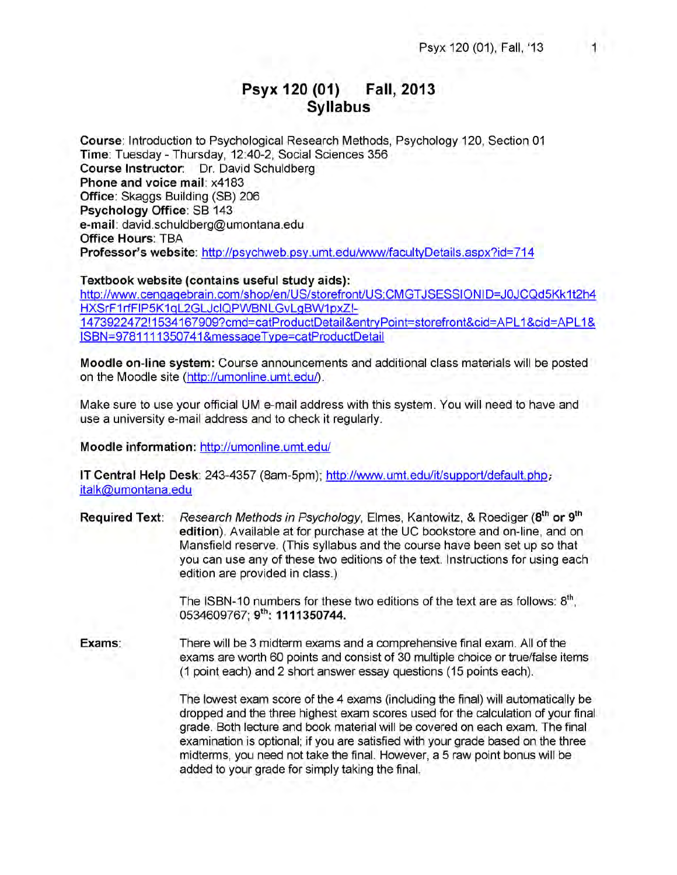# **Psyx 120 (01) Fall, 2013 Syllabus**

**Course:** Introduction to Psychological Research Methods, Psychology **120,** Section **01 Time:** Tuesday - Thursday, 12:40-2, Social Sciences 356 **Course Instructor:** Dr. David Schuldberg **Phone and voice mail:** x4183 **Office:** Skaggs Building (SB) **206 Psychology Office:** SB 143 **e-mail:** david.schuldberg@umontana.edu **Office Hours:** TBA **Professor's website:** http://psychweb.psy.umt.edu/www/facultyDetails.aspx?id=714

#### **Textbook website (contains useful study aids):**

http://www.cengagebrain.com/shop/en/US/storefront/US;CMGTJSESSIONID=JOJCQd5Kk1t2h4 HXSrF1rfFIP5K1qL2GLJclQPWBNLGvLgBW1pxZI-1473922472!1534167909?cmd=catProductDetail&entrvPoint=storefront&cid=APL1&cid=APL1& ISBN=9781111350741&messageType=catProductDetail

**Moodle on-line system:** Course announcements and additional class materials will be posted on the Moodle site (http://umonline.umt.edu/).

Make sure to use your official UM e-mail address with this system. You will need to have and use a university e-mail address and to check it regularly.

**Moodle information:** http://umonline.umt.edu/

**IT Central Help Desk:** 243-4357 (8am-5pm); http://www.umt.edu/it/support/default.php; italk@umontana.edu

**Required Text:** *Research Methods in Psychology,* Elmes, Kantowitz, & Roediger **(8th or 9th edition).** Available at for purchase at the UC bookstore and on-line, and on Mansfield reserve. (This syllabus and the course have been set up so that you can use any of these two editions of the text. Instructions for using each edition are provided in class.)

> The ISBN-10 numbers for these two editions of the text are as follows: 8<sup>th</sup>, 0534609767; **9th: 1111350744.**

**Exams:** There will be 3 midterm exams and a comprehensive final exam. All of the exams are worth 60 points and consist of 30 multiple choice or true/false items (1 point each) and 2 short answer essay questions (15 points each).

> The lowest exam score of the 4 exams (including the final) will automatically be dropped and the three highest exam scores used for the calculation of your final grade. Both lecture and book material will be covered on each exam. The final examination is optional; if you are satisfied with your grade based on the three midterms, you need not take the final. However, a 5 raw point bonus will be added to your grade for simply taking the final.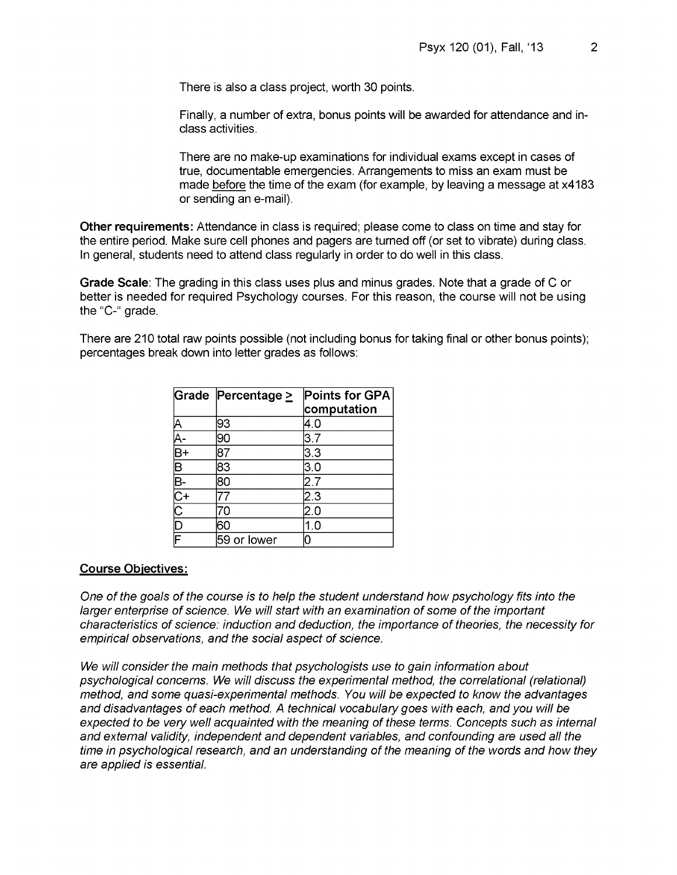There is also a class project, worth 30 points.

Finally, a number of extra, bonus points will be awarded for attendance and inclass activities.

There are no make-up examinations for individual exams except in cases of true, documentable emergencies. Arrangements to miss an exam must be made before the time of the exam (for example, by leaving a message at x4183 or sending an e-mail).

**Other requirements:** Attendance in class is required; please come to class on time and stay for the entire period. Make sure cell phones and pagers are turned off (or set to vibrate) during class. In general, students need to attend class regularly in order to do well in this class.

**Grade Scale:** The grading in this class uses plus and minus grades. Note that a grade of C or better is needed for required Psychology courses. For this reason, the course will not be using the "C-" grade.

There are 210 total raw points possible (not including bonus for taking final or other bonus points); percentages break down into letter grades as follows:

|                | Grade Percentage $\geq$ | Points for GPA |
|----------------|-------------------------|----------------|
|                |                         | computation    |
|                | 93                      | 4.0            |
|                | 90                      | 3.7            |
|                | 87                      | 3.3            |
|                | 83                      | 3.0            |
|                | 80                      | 2.7            |
| $\mathsf{C}^+$ |                         | 2.3            |
|                |                         | 2.0            |
| $\overline{D}$ |                         | 1.0            |
| Ē              | 59 or lower             |                |

#### **Course Objectives:**

*One of the goals of the course is to help the student understand how psychology fits into the larger enterprise of science. We will start with an examination of some of the important characteristics of science: induction and deduction, the importance of theories, the necessity for empirical observations, and the social aspect of science.*

*We will consider the main methods that psychologists use to gain information about psychological concerns. We will discuss the experimental method, the correlational (relational) method, and some quasi-experimental methods. You will be expected to know the advantages and disadvantages of each method. A technical vocabulary goes with each, and you will be expected to be very well acquainted with the meaning of these terms. Concepts such as internal and external validity, independent and dependent variables, and confounding are used all the time in psychological research, and an understanding of the meaning of the words and how they are applied is essential.*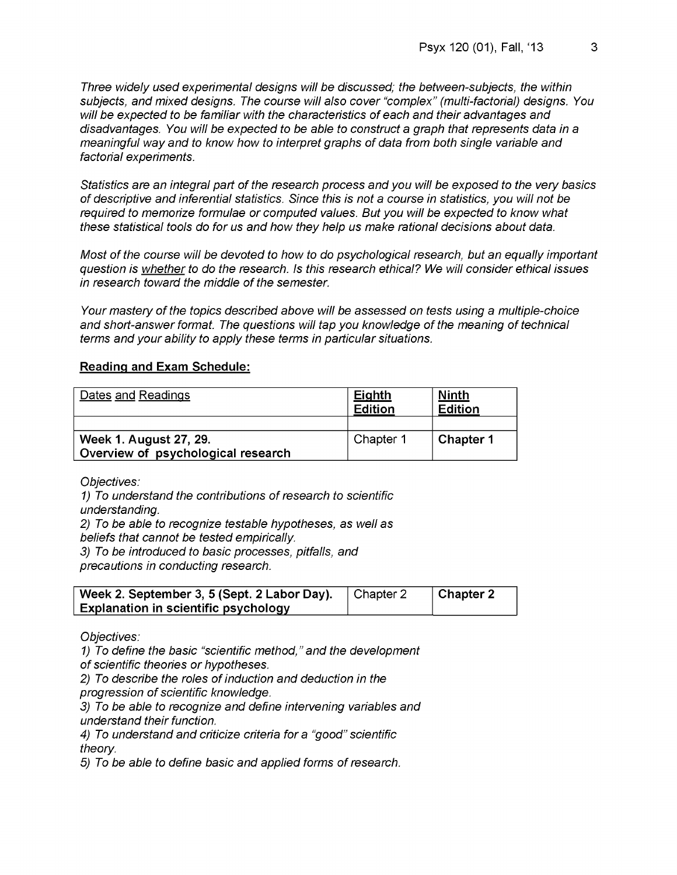*Three widely used experimental designs will be discussed; the between-subjects, the within subjects, and mixed designs. The course will also cover "complex" (multi-factorial) designs. You will be expected to be familiar with the characteristics of each and their advantages and disadvantages. You will be expected to be able to construct a graph that represents data in a meaningful way and to know how to interpret graphs of data from both single variable and factorial experiments.*

*Statistics are an integral part of the research process and you will be exposed to the very basics of descriptive and inferential statistics. Since this is not a course in statistics, you will not be required to memorize formulae or computed values. But you will be expected to know what these statistical tools do for us and how they help us make rational decisions about data.*

*Most of the course will be devoted to how to do psychological research, but an equally important question is whether to do the research. Is this research ethical? We will consider ethical issues in research toward the middle of the semester.*

*Your mastery of the topics described above will be assessed on tests using a multiple-choice and short-answer format. The questions will tap you knowledge of the meaning of technical terms and your ability to apply these terms in particular situations.*

#### **Reading and Exam Schedule:**

| Dates and Readings                                           | <b>Eighth</b><br><b>Edition</b> | Ninth<br><b>Edition</b> |
|--------------------------------------------------------------|---------------------------------|-------------------------|
|                                                              |                                 |                         |
| Week 1. August 27, 29.<br>Overview of psychological research | Chapter 1                       | Chapter 1               |
|                                                              |                                 |                         |

*Objectives:*

*1) To understand the contributions of research to scientific understanding. 2) To be able to recognize testable hypotheses, as well as beliefs that cannot be tested empirically. 3) To be introduced to basic processes, pitfalls, and precautions in conducting research.*

| Week 2. September 3, 5 (Sept. 2 Labor Day). | Chapter 2 | $\vert$ Chapter 2 |
|---------------------------------------------|-----------|-------------------|
| <b>Explanation in scientific psychology</b> |           |                   |

*Objectives:*

*1) To define the basic "scientific method," and the development*

*of scientific theories or hypotheses.*

*2) To describe the roles of induction and deduction in the*

*progression of scientific knowledge.*

*3) To be able to recognize and define intervening variables and understand their function.*

*4) To understand and criticize criteria for a "good" scientific theory.*

*5) To be able to define basic and applied forms of research.*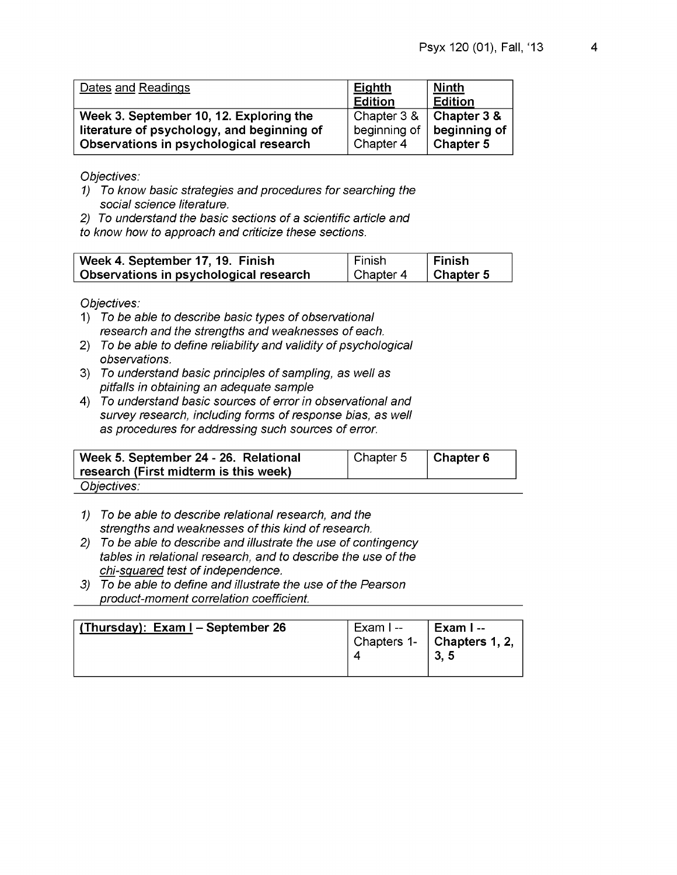| Dates and Readings                         | <b>Eighth</b><br><b>Edition</b> | <b>Ninth</b><br><b>Edition</b> |
|--------------------------------------------|---------------------------------|--------------------------------|
| Week 3. September 10, 12. Exploring the    | Chapter 3 &                     | Chapter 3 &                    |
| literature of psychology, and beginning of | beginning of                    | beginning of                   |
| Observations in psychological research     | Chapter 4                       | Chapter 5                      |

- *1) To know basic strategies and procedures for searching the social science literature.*
- *2) To understand the basic sections of a scientific article and*

*to know how to approach and criticize these sections.*

| Week 4. September 17, 19. Finish       | Finish    | ∣ Finish          |
|----------------------------------------|-----------|-------------------|
| Observations in psychological research | Chapter 4 | $\vert$ Chapter 5 |

- 1) *To be able to describe basic types of observational research and the strengths and weaknesses of each.*
- 2) *To be able to define reliability and validity of psychological observations.*
- 3) *To understand basic principles of sampling, as well as pitfalls in obtaining an adequate sample*
- 4) *To understand basic sources of error in observational and survey research, including forms of response bias, as well as procedures for addressing such sources of error.*

| Week 5. September 24 - 26. Relational<br>research (First midterm is this week) | Chapter 5 | $\vert$ Chapter 6 |
|--------------------------------------------------------------------------------|-----------|-------------------|
| Objectives:                                                                    |           |                   |

- *1) To be able to describe relational research, and the strengths and weaknesses of this kind of research.*
- *2) To be able to describe and illustrate the use of contingency tables in relational research, and to describe the use of the chi-squared test of independence.*
- *3) To be able to define and illustrate the use of the Pearson product-moment correlation coefficient.***\_\_\_\_\_\_\_\_\_\_\_\_\_\_\_\_\_**

| (Thursday): Exam I – September 26 | Exam I -- | ∣ Exam I --<br>$\vert$ Chapters 1- $\vert$ Chapters 1, 2,<br>3.5 |
|-----------------------------------|-----------|------------------------------------------------------------------|
|-----------------------------------|-----------|------------------------------------------------------------------|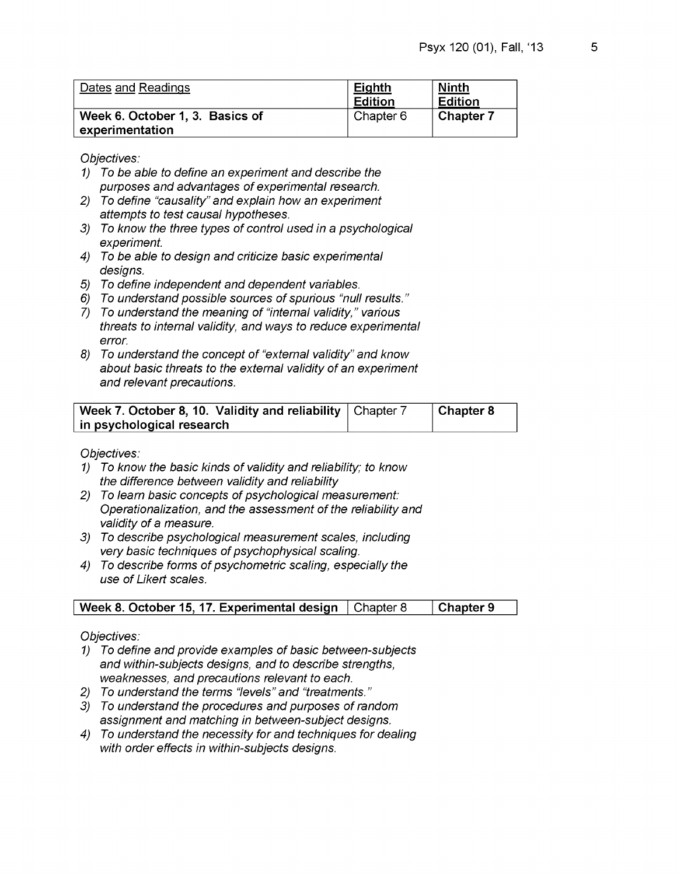| Dates and Readings                                 | <b>Eighth</b><br><b>Edition</b> | <b>Ninth</b><br>Edition |
|----------------------------------------------------|---------------------------------|-------------------------|
| Week 6. October 1, 3. Basics of<br>experimentation | Chapter 6                       | Chapter 7               |

- *1) To be able to define an experiment and describe the purposes and advantages of experimental research.*
- *2) To define "causality" and explain how an experiment attempts to test causal hypotheses.*
- *3j To know the three types of control used in a psychological experiment.*
- *4) To be able to design and criticize basic experimental designs.*
- *5) To define independent and dependent variables.*
- *6) To understand possible sources of spurious "null results."*
- *1) To understand the meaning of "internal validity," various threats to internal validity, and ways to reduce experimental error.*
- *8) To understand the concept of "external validity" and know about basic threats to the external validity of an experiment and relevant precautions.*

| Week 7. October 8, 10. Validity and reliability   Chapter 7 | Chapter 8 |
|-------------------------------------------------------------|-----------|
| in psychological research                                   |           |

*Objectives:*

- *1) To know the basic kinds of validity and reliability; to know the difference between validity and reliability*
- *2) To learn basic concepts of psychological measurement: Operationalization, and the assessment of the reliability and validity of a measure.*
- *3) To describe psychological measurement scales, including very basic techniques of psychophysical scaling.*
- *4) To describe forms of psychometric scaling, especially the use of Likert scales.*

## **Week 8. October 15, 17. Experimental design** | Chapter 8 | Chapter 9

- *1) To define and provide examples of basic between-subjects and within-subjects designs, and to describe strengths, weaknesses, and precautions relevant to each.*
- *2) To understand the terms "levels" and "treatments. "*
- *3j To understand the procedures and purposes of random assignment and matching in between-subject designs.*
- *4) To understand the necessity for and techniques for dealing with order effects in within-subjects designs.*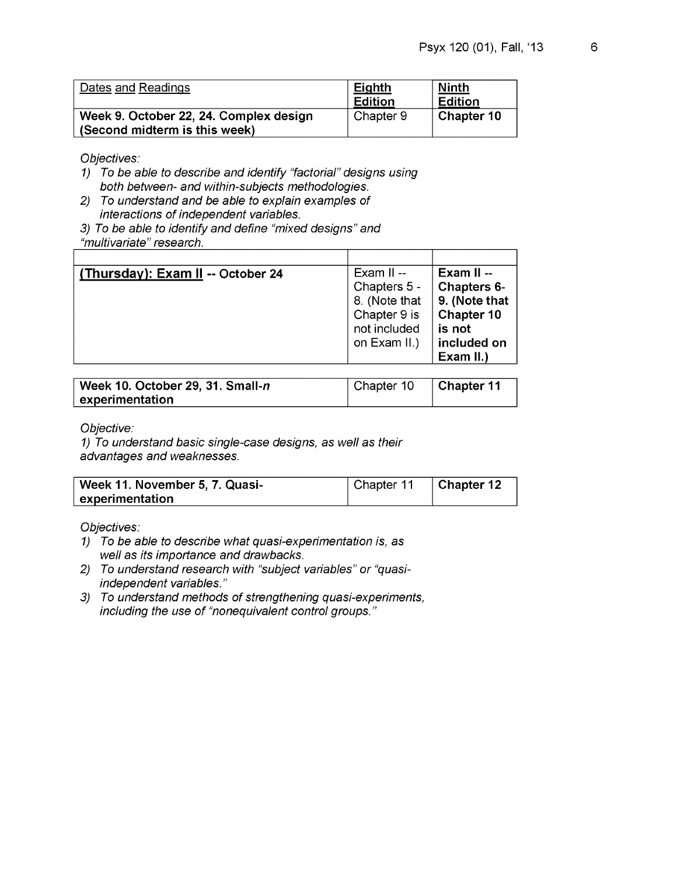| Dates and Readings                                                      | <b>Eighth</b><br>Edition | <b>Ninth</b><br><b>Edition</b> |
|-------------------------------------------------------------------------|--------------------------|--------------------------------|
| Week 9. October 22, 24. Complex design<br>(Second midterm is this week) | Chapter 9                | Chapter 10                     |

- *1) To be able to describe and identify "factorial" designs using both between- and within-subjects methodologies.*
- *2) To understand and be able to explain examples of interactions of independent variables.*
- *3j To be able to identify and define "mixed designs" and "multivariate" research.*

| (Thursday): Exam II -- October 24 | Exam $II -$   | Exam II $-$   |
|-----------------------------------|---------------|---------------|
|                                   | Chapters 5 -  | Chapters 6-   |
|                                   | 8. (Note that | 9. (Note that |
|                                   | Chapter 9 is  | Chapter 10    |
|                                   | not included  | is not        |
|                                   | on Exam II.)  | included on   |
|                                   |               | Exam II.)     |

| Week 10. October 29, 31. Small-n | Chapter 10 | $\vert$ Chapter 11 |
|----------------------------------|------------|--------------------|
| experimentation                  |            |                    |

*Objective:*

*1) To understand basic single-case designs, as well as their advantages and weaknesses.*

| Week 11. November 5, 7. Quasi- | Chapter 11 | $\vert$ Chapter 12 |
|--------------------------------|------------|--------------------|
| experimentation                |            |                    |

- *1) To be able to describe what quasi-experimentation is, as well as its importance and drawbacks.*
- *2) To understand research with "subject variables" or "quasiindependent variables."*
- *3) To understand methods of strengthening quasi-experiments, including the use of "nonequivalent control groups. "*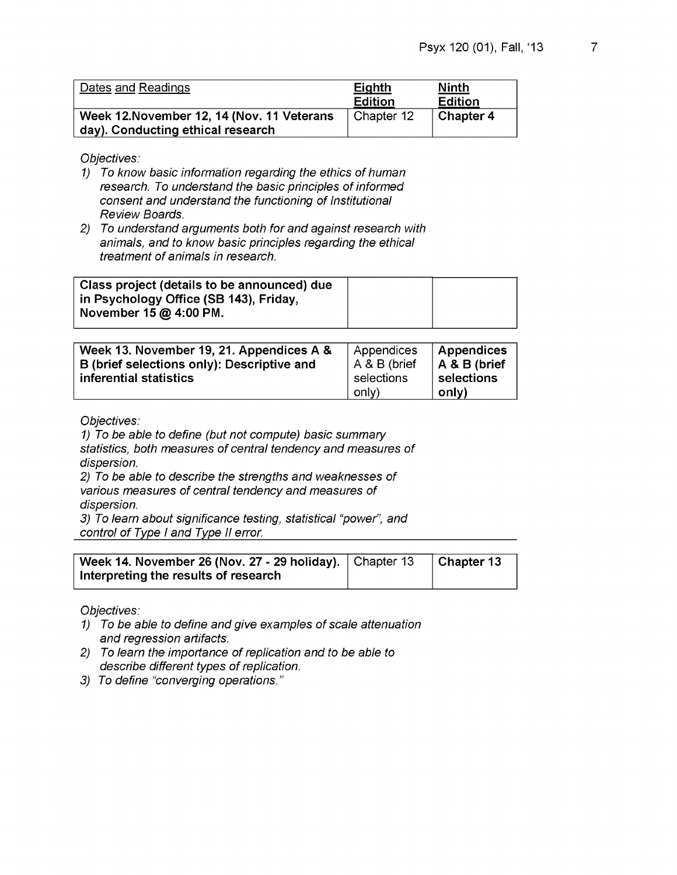| Dates and Readings                                                              | Eighth<br>Edition | <u>Ninth</u><br><b>Edition</b> |
|---------------------------------------------------------------------------------|-------------------|--------------------------------|
| Week 12. November 12, 14 (Nov. 11 Veterans<br>day). Conducting ethical research | Chapter 12        | <b>Chapter 4</b>               |

- *1) To know basic information regarding the ethics of human research. To understand the basic principles of informed consent and understand the functioning of Institutional Review Boards.*
- *2) To understand arguments both for and against research with animals, and to know basic principles regarding the ethical treatment of animals in research.*

| Class project (details to be announced) due |  |
|---------------------------------------------|--|
| in Psychology Office (SB 143), Friday,      |  |
| November $15 \omega$ 4:00 PM.               |  |
|                                             |  |

| Week 13. November 19, 21. Appendices A &                             | Appendices                 | Appendices                 |
|----------------------------------------------------------------------|----------------------------|----------------------------|
| B (brief selections only): Descriptive and<br>inferential statistics | A & B (brief<br>selections | A & B (brief<br>selections |
|                                                                      | only)                      | only)                      |

*Objectives:*

*1) To be able to define (but not compute) basic summary statistics, both measures of central tendency and measures of dispersion. 2) To be able to describe the strengths and weaknesses of various measures of central tendency and measures of*

*dispersion.*

*3) To learn about significance testing, statistical "power", and control of Type I and Type II error.*

| Week 14. November 26 (Nov. 27 - 29 holiday). $\vert$ Chapter 13 | $\vert$ Chapter 13 |
|-----------------------------------------------------------------|--------------------|
| Interpreting the results of research                            |                    |

- *1) To be able to define and give examples of scale attenuation and regression artifacts.*
- *2) To learn the importance of replication and to be able to describe different types of replication.*
- *3) To define "converging operations."*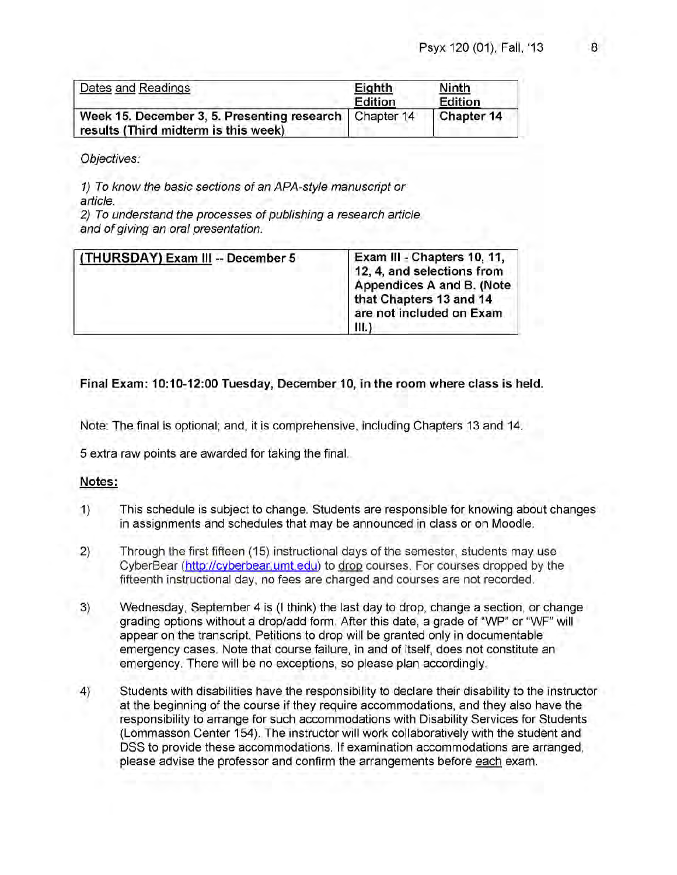| Dates and Readings                                                                               | Eighth<br>Edition | <b>Ninth</b><br>Edition |
|--------------------------------------------------------------------------------------------------|-------------------|-------------------------|
| Week 15. December 3, 5. Presenting research   Chapter 14<br>results (Third midterm is this week) |                   | Chapter 14              |

*1) To know the basic sections of an APA-styie manuscript or article.*

*2) To understand the processes of publishing a research article and of giving an oral presentation.*

| (THURSDAY) Exam III -- December 5<br>and the additional company of the company of the company of the company of the company of the company of the company of | Exam III - Chapters 10, 11,<br>12, 4, and selections from<br>Appendices A and B. (Note<br>that Chapters 13 and 14<br>are not included on Exam<br>Ш |
|--------------------------------------------------------------------------------------------------------------------------------------------------------------|----------------------------------------------------------------------------------------------------------------------------------------------------|
|--------------------------------------------------------------------------------------------------------------------------------------------------------------|----------------------------------------------------------------------------------------------------------------------------------------------------|

#### **Final Exam: 10:10-12:00 Tuesday, December 10, in the room where class is held.**

Note: The final is optional; and, it is comprehensive, including Chapters 13 and 14.

5 extra raw points are awarded for taking the final.

#### **Notes:**

- 1) This schedule is subject to change. Students are responsible for knowing about changes in assignments and schedules that may be announced in class or on Moodle.
- 2) Through the first fifteen (15) instructional days of the semester, students may use CyberBear (http://cyberbear.umt.edu) to drop courses. For courses dropped by the fifteenth instructional day, no fees are charged and courses are not recorded.
- 3) Wednesday, September 4 is (I think) the last day to drop, change a section, or change grading options without a drop/add form. After this date, a grade of "WP" or "WF" will appear on the transcript. Petitions to drop will be granted only in documentable emergency cases. Note that course failure, in and of itself, does not constitute an emergency. There will be no exceptions, so please plan accordingly.
- 4) Students with disabilities have the responsibility to declare their disability to the instructor at the beginning of the course if they require accommodations, and they also have the responsibility to arrange for such accommodations with Disability Services for Students (Lommasson Center 154). The instructor will work collaboratively with the student and DSS to provide these accommodations. If examination accommodations are arranged, please advise the professor and confirm the arrangements before each exam.